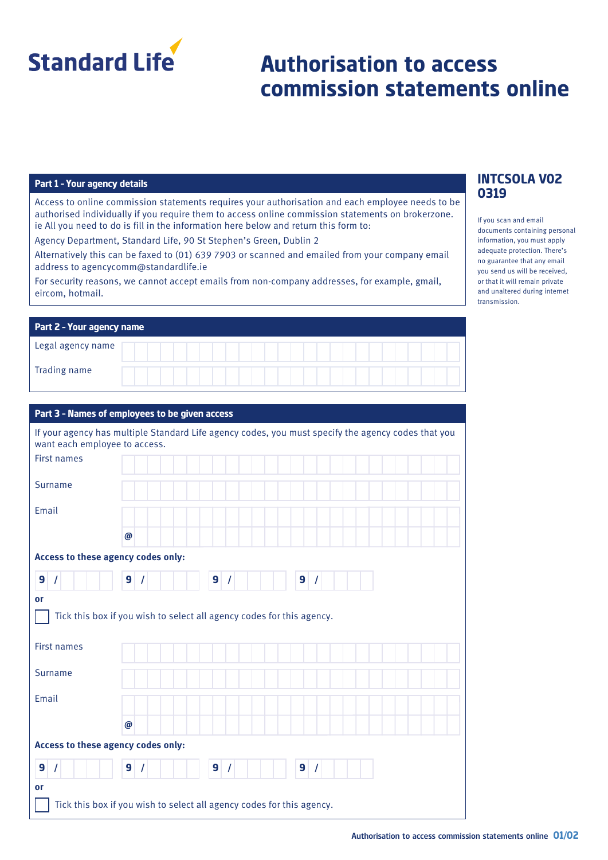

# **Authorisation to access commission statements online**

#### **Part 1 – Your agency details**

Access to online commission statements requires your authorisation and each employee needs to be authorised individually if you require them to access online commission statements on brokerzone. ie All you need to do is fill in the information here below and return this form to:

Agency Department, Standard Life, 90 St Stephen's Green, Dublin 2

Alternatively this can be faxed to (01) 639 7903 or scanned and emailed from your company email address to agencycomm@standardlife.ie

For security reasons, we cannot accept emails from non-company addresses, for example, gmail, eircom, hotmail.

| <b>Part 2 - Your agency name</b> |  |  |  |  |  |  |  |  |  |  |  |  |  |  |
|----------------------------------|--|--|--|--|--|--|--|--|--|--|--|--|--|--|
| Legal agency name                |  |  |  |  |  |  |  |  |  |  |  |  |  |  |
| Trading name                     |  |  |  |  |  |  |  |  |  |  |  |  |  |  |

#### **Part 3 – Names of employees to be given access**

| want each employee to access.      | If your agency has multiple Standard Life agency codes, you must specify the agency codes that you |  |  |  |  |  |
|------------------------------------|----------------------------------------------------------------------------------------------------|--|--|--|--|--|
| <b>First names</b>                 |                                                                                                    |  |  |  |  |  |
| <b>Surname</b>                     |                                                                                                    |  |  |  |  |  |
| Email                              |                                                                                                    |  |  |  |  |  |
|                                    | $\boldsymbol{\omega}$                                                                              |  |  |  |  |  |
| Access to these agency codes only: |                                                                                                    |  |  |  |  |  |
| 9<br>$\prime$                      | 9<br>9<br>9<br>$\prime$<br>$\prime$<br>$\prime$                                                    |  |  |  |  |  |
| or                                 |                                                                                                    |  |  |  |  |  |
|                                    | Tick this box if you wish to select all agency codes for this agency.                              |  |  |  |  |  |
| <b>First names</b>                 |                                                                                                    |  |  |  |  |  |
| <b>Surname</b>                     |                                                                                                    |  |  |  |  |  |
| Email                              |                                                                                                    |  |  |  |  |  |
|                                    | @                                                                                                  |  |  |  |  |  |
| Access to these agency codes only: |                                                                                                    |  |  |  |  |  |
| 9<br>$\prime$                      | 9<br>9<br>9                                                                                        |  |  |  |  |  |
| or                                 |                                                                                                    |  |  |  |  |  |
|                                    | Tick this box if you wish to select all agency codes for this agency.                              |  |  |  |  |  |

## **INTCSOLA V02 0319**

If you scan and email documents containing personal information, you must apply adequate protection. There's no guarantee that any email you send us will be received, or that it will remain private and unaltered during internet transmission.